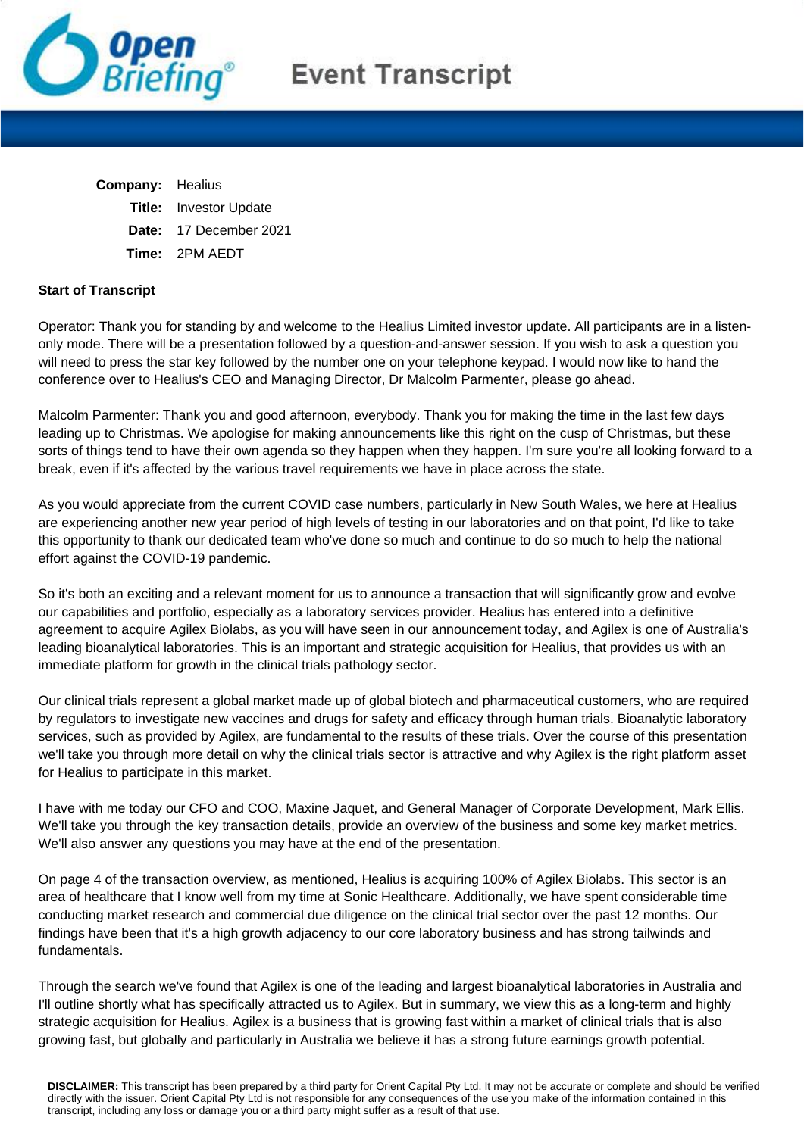

## **Event Transcript**

| <b>Company:</b> Healius       |
|-------------------------------|
| <b>Title:</b> Investor Update |
| Date: 17 December 2021        |
| <b>Time: 2PM AEDT</b>         |
|                               |

## **Start of Transcript**

Operator: Thank you for standing by and welcome to the Healius Limited investor update. All participants are in a listenonly mode. There will be a presentation followed by a question-and-answer session. If you wish to ask a question you will need to press the star key followed by the number one on your telephone keypad. I would now like to hand the conference over to Healius's CEO and Managing Director, Dr Malcolm Parmenter, please go ahead.

Malcolm Parmenter: Thank you and good afternoon, everybody. Thank you for making the time in the last few days leading up to Christmas. We apologise for making announcements like this right on the cusp of Christmas, but these sorts of things tend to have their own agenda so they happen when they happen. I'm sure you're all looking forward to a break, even if it's affected by the various travel requirements we have in place across the state.

As you would appreciate from the current COVID case numbers, particularly in New South Wales, we here at Healius are experiencing another new year period of high levels of testing in our laboratories and on that point, I'd like to take this opportunity to thank our dedicated team who've done so much and continue to do so much to help the national effort against the COVID-19 pandemic.

So it's both an exciting and a relevant moment for us to announce a transaction that will significantly grow and evolve our capabilities and portfolio, especially as a laboratory services provider. Healius has entered into a definitive agreement to acquire Agilex Biolabs, as you will have seen in our announcement today, and Agilex is one of Australia's leading bioanalytical laboratories. This is an important and strategic acquisition for Healius, that provides us with an immediate platform for growth in the clinical trials pathology sector.

Our clinical trials represent a global market made up of global biotech and pharmaceutical customers, who are required by regulators to investigate new vaccines and drugs for safety and efficacy through human trials. Bioanalytic laboratory services, such as provided by Agilex, are fundamental to the results of these trials. Over the course of this presentation we'll take you through more detail on why the clinical trials sector is attractive and why Agilex is the right platform asset for Healius to participate in this market.

I have with me today our CFO and COO, Maxine Jaquet, and General Manager of Corporate Development, Mark Ellis. We'll take you through the key transaction details, provide an overview of the business and some key market metrics. We'll also answer any questions you may have at the end of the presentation.

On page 4 of the transaction overview, as mentioned, Healius is acquiring 100% of Agilex Biolabs. This sector is an area of healthcare that I know well from my time at Sonic Healthcare. Additionally, we have spent considerable time conducting market research and commercial due diligence on the clinical trial sector over the past 12 months. Our findings have been that it's a high growth adjacency to our core laboratory business and has strong tailwinds and fundamentals.

Through the search we've found that Agilex is one of the leading and largest bioanalytical laboratories in Australia and I'll outline shortly what has specifically attracted us to Agilex. But in summary, we view this as a long-term and highly strategic acquisition for Healius. Agilex is a business that is growing fast within a market of clinical trials that is also growing fast, but globally and particularly in Australia we believe it has a strong future earnings growth potential.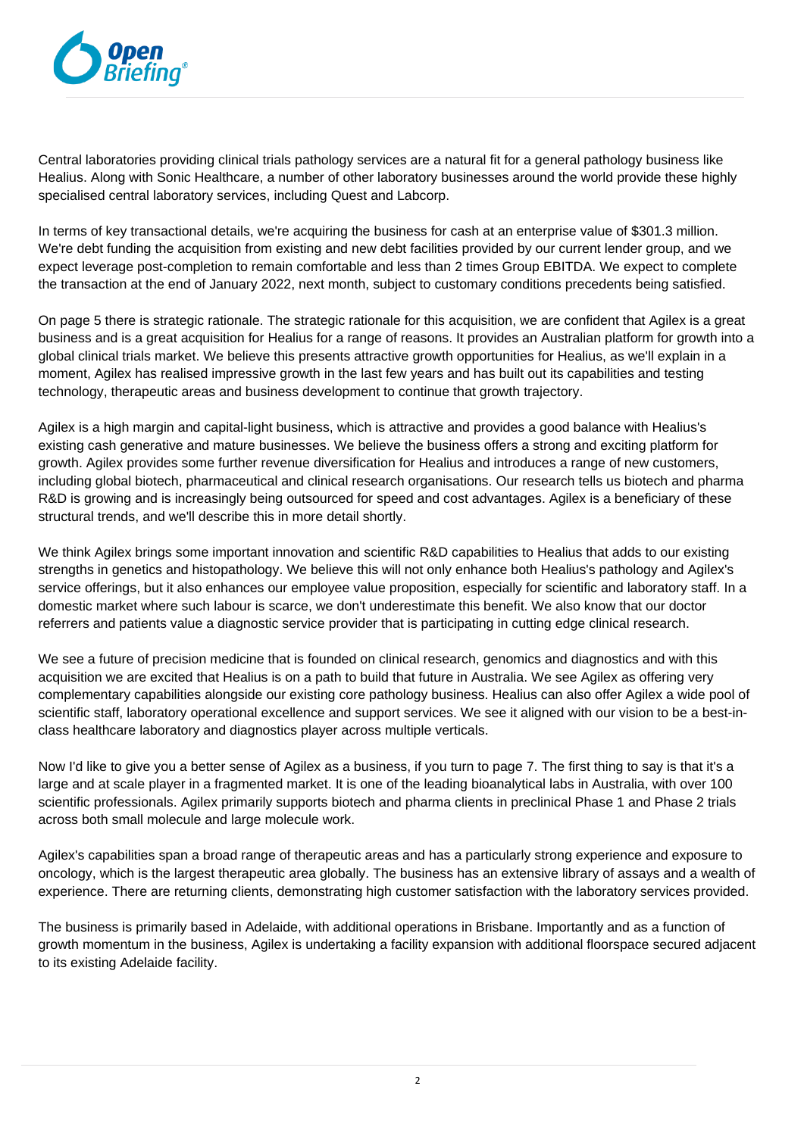

Central laboratories providing clinical trials pathology services are a natural fit for a general pathology business like Healius. Along with Sonic Healthcare, a number of other laboratory businesses around the world provide these highly specialised central laboratory services, including Quest and Labcorp.

In terms of key transactional details, we're acquiring the business for cash at an enterprise value of \$301.3 million. We're debt funding the acquisition from existing and new debt facilities provided by our current lender group, and we expect leverage post-completion to remain comfortable and less than 2 times Group EBITDA. We expect to complete the transaction at the end of January 2022, next month, subject to customary conditions precedents being satisfied.

On page 5 there is strategic rationale. The strategic rationale for this acquisition, we are confident that Agilex is a great business and is a great acquisition for Healius for a range of reasons. It provides an Australian platform for growth into a global clinical trials market. We believe this presents attractive growth opportunities for Healius, as we'll explain in a moment, Agilex has realised impressive growth in the last few years and has built out its capabilities and testing technology, therapeutic areas and business development to continue that growth trajectory.

Agilex is a high margin and capital-light business, which is attractive and provides a good balance with Healius's existing cash generative and mature businesses. We believe the business offers a strong and exciting platform for growth. Agilex provides some further revenue diversification for Healius and introduces a range of new customers, including global biotech, pharmaceutical and clinical research organisations. Our research tells us biotech and pharma R&D is growing and is increasingly being outsourced for speed and cost advantages. Agilex is a beneficiary of these structural trends, and we'll describe this in more detail shortly.

We think Agilex brings some important innovation and scientific R&D capabilities to Healius that adds to our existing strengths in genetics and histopathology. We believe this will not only enhance both Healius's pathology and Agilex's service offerings, but it also enhances our employee value proposition, especially for scientific and laboratory staff. In a domestic market where such labour is scarce, we don't underestimate this benefit. We also know that our doctor referrers and patients value a diagnostic service provider that is participating in cutting edge clinical research.

We see a future of precision medicine that is founded on clinical research, genomics and diagnostics and with this acquisition we are excited that Healius is on a path to build that future in Australia. We see Agilex as offering very complementary capabilities alongside our existing core pathology business. Healius can also offer Agilex a wide pool of scientific staff, laboratory operational excellence and support services. We see it aligned with our vision to be a best-inclass healthcare laboratory and diagnostics player across multiple verticals.

Now I'd like to give you a better sense of Agilex as a business, if you turn to page 7. The first thing to say is that it's a large and at scale player in a fragmented market. It is one of the leading bioanalytical labs in Australia, with over 100 scientific professionals. Agilex primarily supports biotech and pharma clients in preclinical Phase 1 and Phase 2 trials across both small molecule and large molecule work.

Agilex's capabilities span a broad range of therapeutic areas and has a particularly strong experience and exposure to oncology, which is the largest therapeutic area globally. The business has an extensive library of assays and a wealth of experience. There are returning clients, demonstrating high customer satisfaction with the laboratory services provided.

The business is primarily based in Adelaide, with additional operations in Brisbane. Importantly and as a function of growth momentum in the business, Agilex is undertaking a facility expansion with additional floorspace secured adjacent to its existing Adelaide facility.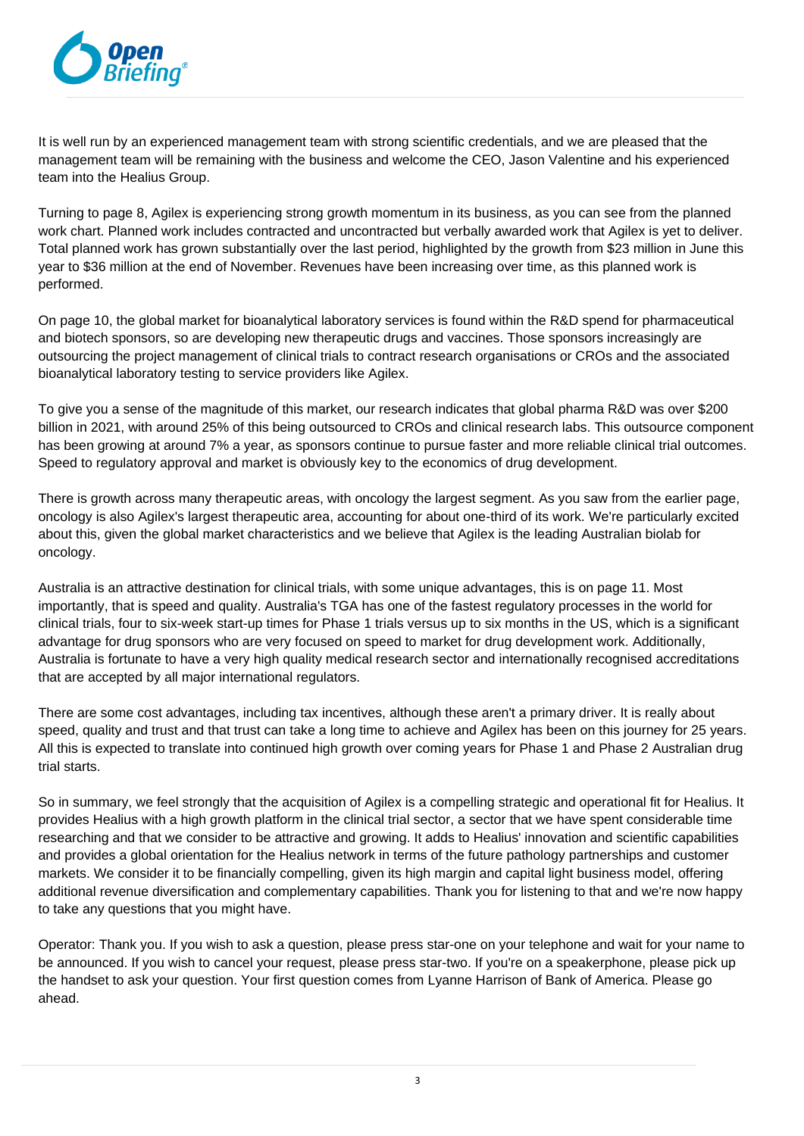

It is well run by an experienced management team with strong scientific credentials, and we are pleased that the management team will be remaining with the business and welcome the CEO, Jason Valentine and his experienced team into the Healius Group.

Turning to page 8, Agilex is experiencing strong growth momentum in its business, as you can see from the planned work chart. Planned work includes contracted and uncontracted but verbally awarded work that Agilex is yet to deliver. Total planned work has grown substantially over the last period, highlighted by the growth from \$23 million in June this year to \$36 million at the end of November. Revenues have been increasing over time, as this planned work is performed.

On page 10, the global market for bioanalytical laboratory services is found within the R&D spend for pharmaceutical and biotech sponsors, so are developing new therapeutic drugs and vaccines. Those sponsors increasingly are outsourcing the project management of clinical trials to contract research organisations or CROs and the associated bioanalytical laboratory testing to service providers like Agilex.

To give you a sense of the magnitude of this market, our research indicates that global pharma R&D was over \$200 billion in 2021, with around 25% of this being outsourced to CROs and clinical research labs. This outsource component has been growing at around 7% a year, as sponsors continue to pursue faster and more reliable clinical trial outcomes. Speed to regulatory approval and market is obviously key to the economics of drug development.

There is growth across many therapeutic areas, with oncology the largest segment. As you saw from the earlier page, oncology is also Agilex's largest therapeutic area, accounting for about one-third of its work. We're particularly excited about this, given the global market characteristics and we believe that Agilex is the leading Australian biolab for oncology.

Australia is an attractive destination for clinical trials, with some unique advantages, this is on page 11. Most importantly, that is speed and quality. Australia's TGA has one of the fastest regulatory processes in the world for clinical trials, four to six-week start-up times for Phase 1 trials versus up to six months in the US, which is a significant advantage for drug sponsors who are very focused on speed to market for drug development work. Additionally, Australia is fortunate to have a very high quality medical research sector and internationally recognised accreditations that are accepted by all major international regulators.

There are some cost advantages, including tax incentives, although these aren't a primary driver. It is really about speed, quality and trust and that trust can take a long time to achieve and Agilex has been on this journey for 25 years. All this is expected to translate into continued high growth over coming years for Phase 1 and Phase 2 Australian drug trial starts.

So in summary, we feel strongly that the acquisition of Agilex is a compelling strategic and operational fit for Healius. It provides Healius with a high growth platform in the clinical trial sector, a sector that we have spent considerable time researching and that we consider to be attractive and growing. It adds to Healius' innovation and scientific capabilities and provides a global orientation for the Healius network in terms of the future pathology partnerships and customer markets. We consider it to be financially compelling, given its high margin and capital light business model, offering additional revenue diversification and complementary capabilities. Thank you for listening to that and we're now happy to take any questions that you might have.

Operator: Thank you. If you wish to ask a question, please press star-one on your telephone and wait for your name to be announced. If you wish to cancel your request, please press star-two. If you're on a speakerphone, please pick up the handset to ask your question. Your first question comes from Lyanne Harrison of Bank of America. Please go ahead.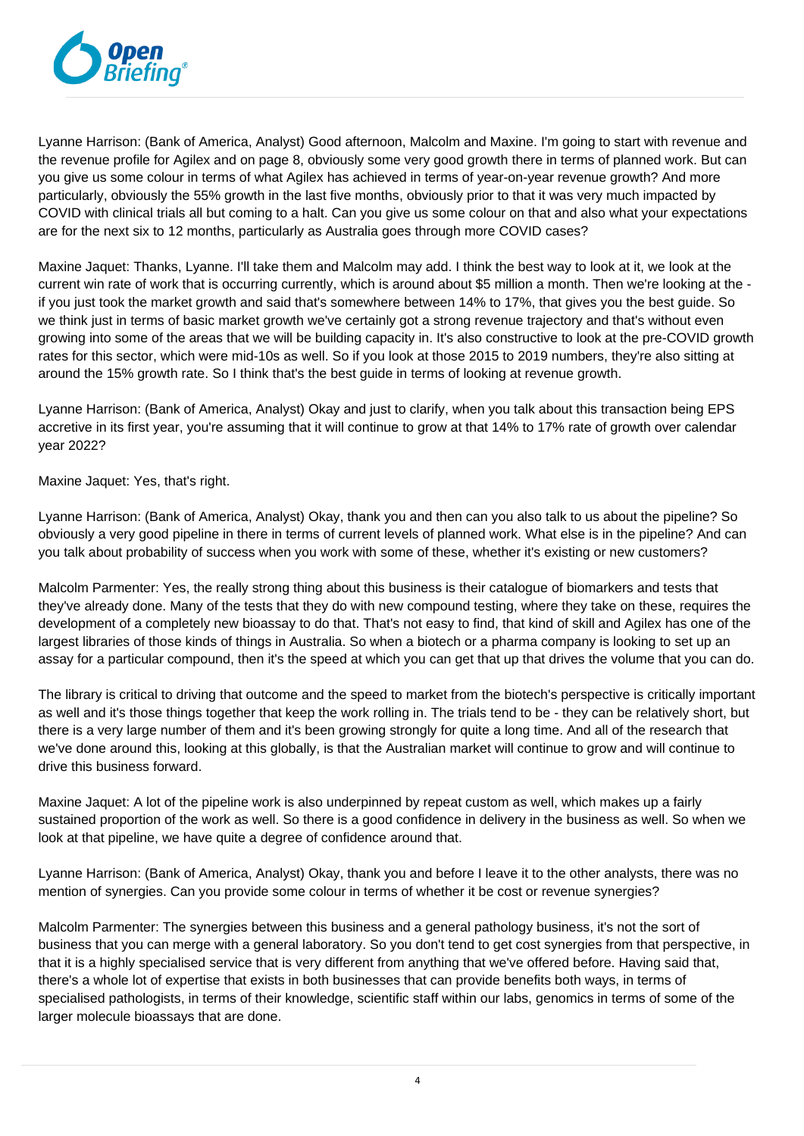

Lyanne Harrison: (Bank of America, Analyst) Good afternoon, Malcolm and Maxine. I'm going to start with revenue and the revenue profile for Agilex and on page 8, obviously some very good growth there in terms of planned work. But can you give us some colour in terms of what Agilex has achieved in terms of year-on-year revenue growth? And more particularly, obviously the 55% growth in the last five months, obviously prior to that it was very much impacted by COVID with clinical trials all but coming to a halt. Can you give us some colour on that and also what your expectations are for the next six to 12 months, particularly as Australia goes through more COVID cases?

Maxine Jaquet: Thanks, Lyanne. I'll take them and Malcolm may add. I think the best way to look at it, we look at the current win rate of work that is occurring currently, which is around about \$5 million a month. Then we're looking at the if you just took the market growth and said that's somewhere between 14% to 17%, that gives you the best guide. So we think just in terms of basic market growth we've certainly got a strong revenue trajectory and that's without even growing into some of the areas that we will be building capacity in. It's also constructive to look at the pre-COVID growth rates for this sector, which were mid-10s as well. So if you look at those 2015 to 2019 numbers, they're also sitting at around the 15% growth rate. So I think that's the best guide in terms of looking at revenue growth.

Lyanne Harrison: (Bank of America, Analyst) Okay and just to clarify, when you talk about this transaction being EPS accretive in its first year, you're assuming that it will continue to grow at that 14% to 17% rate of growth over calendar year 2022?

Maxine Jaquet: Yes, that's right.

Lyanne Harrison: (Bank of America, Analyst) Okay, thank you and then can you also talk to us about the pipeline? So obviously a very good pipeline in there in terms of current levels of planned work. What else is in the pipeline? And can you talk about probability of success when you work with some of these, whether it's existing or new customers?

Malcolm Parmenter: Yes, the really strong thing about this business is their catalogue of biomarkers and tests that they've already done. Many of the tests that they do with new compound testing, where they take on these, requires the development of a completely new bioassay to do that. That's not easy to find, that kind of skill and Agilex has one of the largest libraries of those kinds of things in Australia. So when a biotech or a pharma company is looking to set up an assay for a particular compound, then it's the speed at which you can get that up that drives the volume that you can do.

The library is critical to driving that outcome and the speed to market from the biotech's perspective is critically important as well and it's those things together that keep the work rolling in. The trials tend to be - they can be relatively short, but there is a very large number of them and it's been growing strongly for quite a long time. And all of the research that we've done around this, looking at this globally, is that the Australian market will continue to grow and will continue to drive this business forward.

Maxine Jaquet: A lot of the pipeline work is also underpinned by repeat custom as well, which makes up a fairly sustained proportion of the work as well. So there is a good confidence in delivery in the business as well. So when we look at that pipeline, we have quite a degree of confidence around that.

Lyanne Harrison: (Bank of America, Analyst) Okay, thank you and before I leave it to the other analysts, there was no mention of synergies. Can you provide some colour in terms of whether it be cost or revenue synergies?

Malcolm Parmenter: The synergies between this business and a general pathology business, it's not the sort of business that you can merge with a general laboratory. So you don't tend to get cost synergies from that perspective, in that it is a highly specialised service that is very different from anything that we've offered before. Having said that, there's a whole lot of expertise that exists in both businesses that can provide benefits both ways, in terms of specialised pathologists, in terms of their knowledge, scientific staff within our labs, genomics in terms of some of the larger molecule bioassays that are done.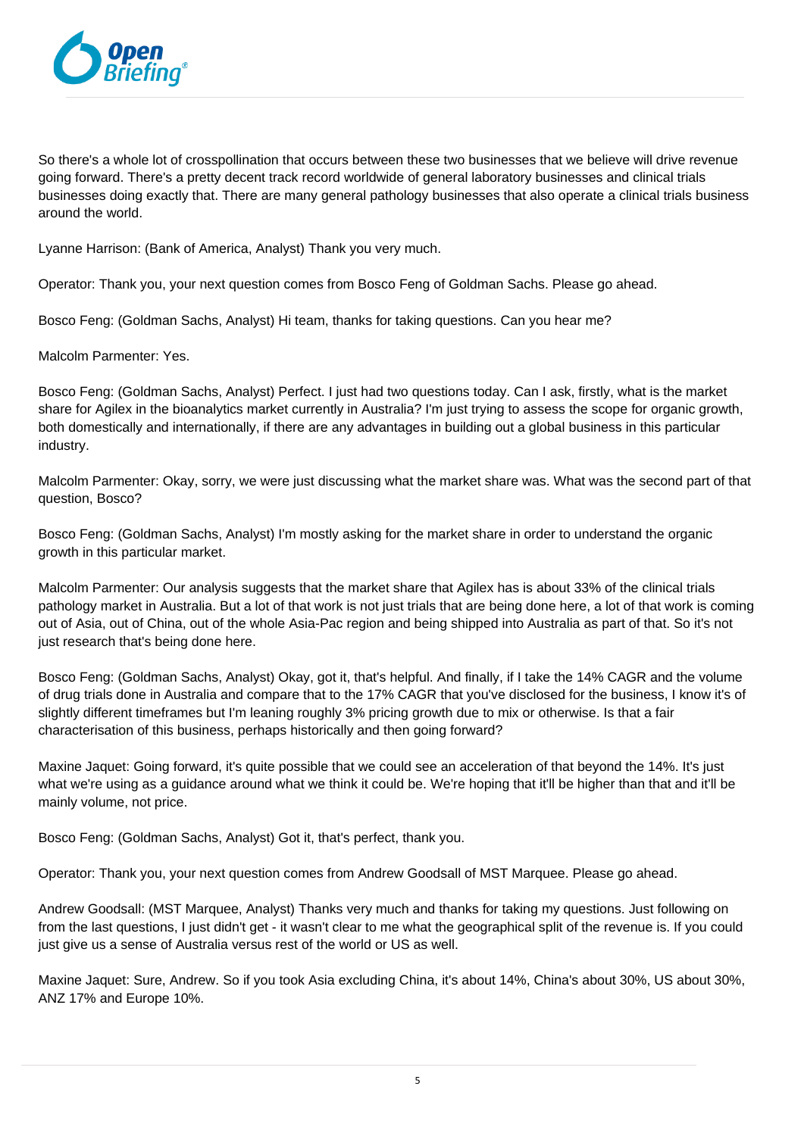

So there's a whole lot of crosspollination that occurs between these two businesses that we believe will drive revenue going forward. There's a pretty decent track record worldwide of general laboratory businesses and clinical trials businesses doing exactly that. There are many general pathology businesses that also operate a clinical trials business around the world.

Lyanne Harrison: (Bank of America, Analyst) Thank you very much.

Operator: Thank you, your next question comes from Bosco Feng of Goldman Sachs. Please go ahead.

Bosco Feng: (Goldman Sachs, Analyst) Hi team, thanks for taking questions. Can you hear me?

Malcolm Parmenter: Yes.

Bosco Feng: (Goldman Sachs, Analyst) Perfect. I just had two questions today. Can I ask, firstly, what is the market share for Agilex in the bioanalytics market currently in Australia? I'm just trying to assess the scope for organic growth, both domestically and internationally, if there are any advantages in building out a global business in this particular industry.

Malcolm Parmenter: Okay, sorry, we were just discussing what the market share was. What was the second part of that question, Bosco?

Bosco Feng: (Goldman Sachs, Analyst) I'm mostly asking for the market share in order to understand the organic growth in this particular market.

Malcolm Parmenter: Our analysis suggests that the market share that Agilex has is about 33% of the clinical trials pathology market in Australia. But a lot of that work is not just trials that are being done here, a lot of that work is coming out of Asia, out of China, out of the whole Asia-Pac region and being shipped into Australia as part of that. So it's not just research that's being done here.

Bosco Feng: (Goldman Sachs, Analyst) Okay, got it, that's helpful. And finally, if I take the 14% CAGR and the volume of drug trials done in Australia and compare that to the 17% CAGR that you've disclosed for the business, I know it's of slightly different timeframes but I'm leaning roughly 3% pricing growth due to mix or otherwise. Is that a fair characterisation of this business, perhaps historically and then going forward?

Maxine Jaquet: Going forward, it's quite possible that we could see an acceleration of that beyond the 14%. It's just what we're using as a guidance around what we think it could be. We're hoping that it'll be higher than that and it'll be mainly volume, not price.

Bosco Feng: (Goldman Sachs, Analyst) Got it, that's perfect, thank you.

Operator: Thank you, your next question comes from Andrew Goodsall of MST Marquee. Please go ahead.

Andrew Goodsall: (MST Marquee, Analyst) Thanks very much and thanks for taking my questions. Just following on from the last questions, I just didn't get - it wasn't clear to me what the geographical split of the revenue is. If you could just give us a sense of Australia versus rest of the world or US as well.

Maxine Jaquet: Sure, Andrew. So if you took Asia excluding China, it's about 14%, China's about 30%, US about 30%, ANZ 17% and Europe 10%.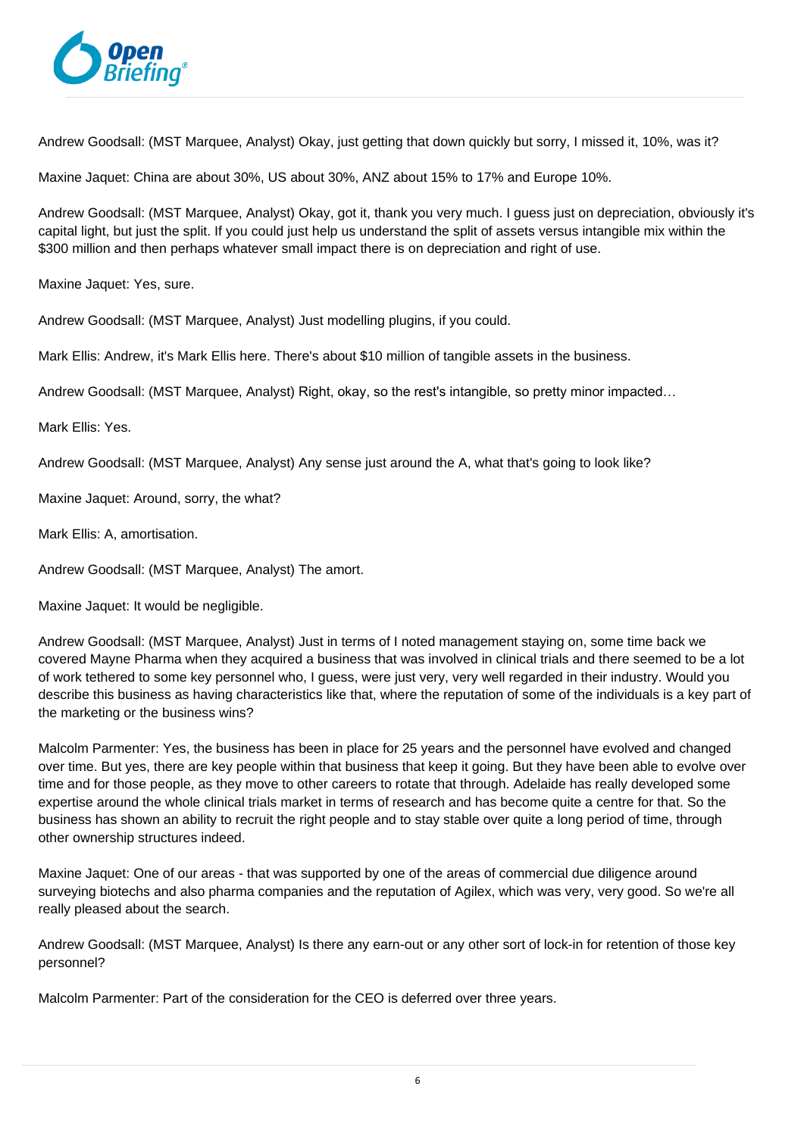

Andrew Goodsall: (MST Marquee, Analyst) Okay, just getting that down quickly but sorry, I missed it, 10%, was it?

Maxine Jaquet: China are about 30%, US about 30%, ANZ about 15% to 17% and Europe 10%.

Andrew Goodsall: (MST Marquee, Analyst) Okay, got it, thank you very much. I guess just on depreciation, obviously it's capital light, but just the split. If you could just help us understand the split of assets versus intangible mix within the \$300 million and then perhaps whatever small impact there is on depreciation and right of use.

Maxine Jaquet: Yes, sure.

Andrew Goodsall: (MST Marquee, Analyst) Just modelling plugins, if you could.

Mark Ellis: Andrew, it's Mark Ellis here. There's about \$10 million of tangible assets in the business.

Andrew Goodsall: (MST Marquee, Analyst) Right, okay, so the rest's intangible, so pretty minor impacted…

Mark Ellis: Yes.

Andrew Goodsall: (MST Marquee, Analyst) Any sense just around the A, what that's going to look like?

Maxine Jaquet: Around, sorry, the what?

Mark Ellis: A, amortisation.

Andrew Goodsall: (MST Marquee, Analyst) The amort.

Maxine Jaquet: It would be negligible.

Andrew Goodsall: (MST Marquee, Analyst) Just in terms of I noted management staying on, some time back we covered Mayne Pharma when they acquired a business that was involved in clinical trials and there seemed to be a lot of work tethered to some key personnel who, I guess, were just very, very well regarded in their industry. Would you describe this business as having characteristics like that, where the reputation of some of the individuals is a key part of the marketing or the business wins?

Malcolm Parmenter: Yes, the business has been in place for 25 years and the personnel have evolved and changed over time. But yes, there are key people within that business that keep it going. But they have been able to evolve over time and for those people, as they move to other careers to rotate that through. Adelaide has really developed some expertise around the whole clinical trials market in terms of research and has become quite a centre for that. So the business has shown an ability to recruit the right people and to stay stable over quite a long period of time, through other ownership structures indeed.

Maxine Jaquet: One of our areas - that was supported by one of the areas of commercial due diligence around surveying biotechs and also pharma companies and the reputation of Agilex, which was very, very good. So we're all really pleased about the search.

Andrew Goodsall: (MST Marquee, Analyst) Is there any earn-out or any other sort of lock-in for retention of those key personnel?

Malcolm Parmenter: Part of the consideration for the CEO is deferred over three years.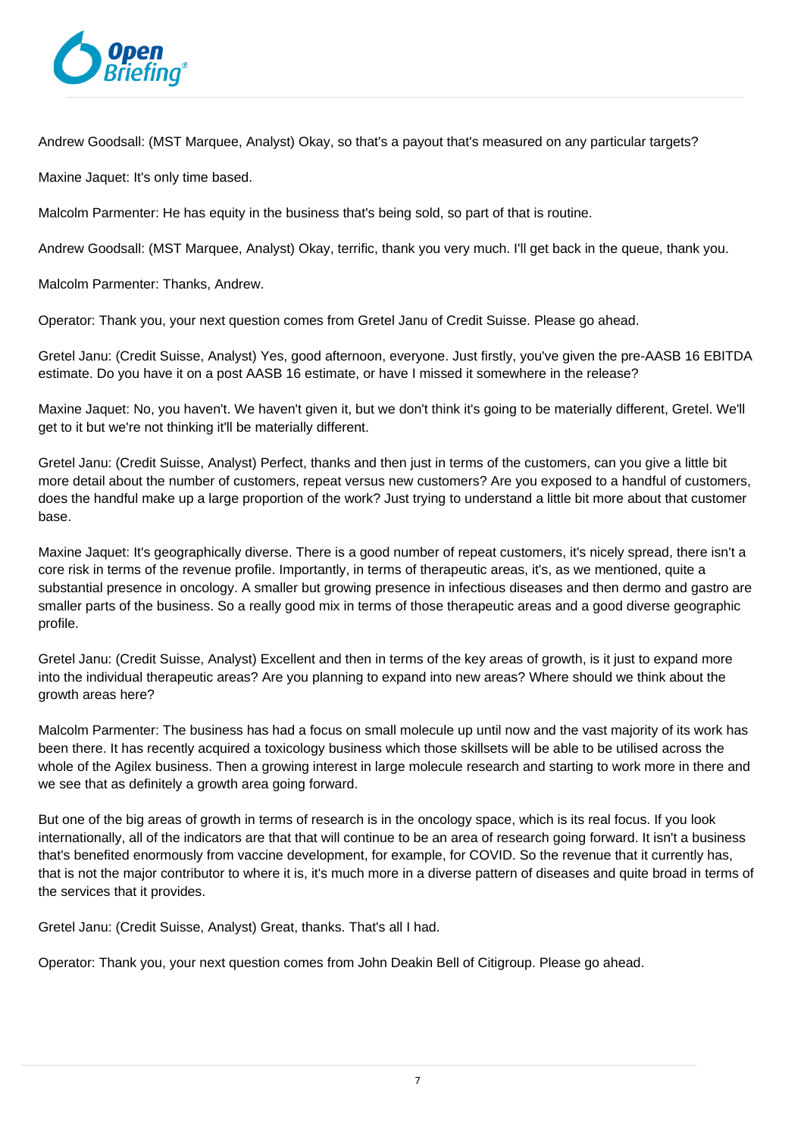

Andrew Goodsall: (MST Marquee, Analyst) Okay, so that's a payout that's measured on any particular targets?

Maxine Jaquet: It's only time based.

Malcolm Parmenter: He has equity in the business that's being sold, so part of that is routine.

Andrew Goodsall: (MST Marquee, Analyst) Okay, terrific, thank you very much. I'll get back in the queue, thank you.

Malcolm Parmenter: Thanks, Andrew.

Operator: Thank you, your next question comes from Gretel Janu of Credit Suisse. Please go ahead.

Gretel Janu: (Credit Suisse, Analyst) Yes, good afternoon, everyone. Just firstly, you've given the pre-AASB 16 EBITDA estimate. Do you have it on a post AASB 16 estimate, or have I missed it somewhere in the release?

Maxine Jaquet: No, you haven't. We haven't given it, but we don't think it's going to be materially different, Gretel, We'll get to it but we're not thinking it'll be materially different.

Gretel Janu: (Credit Suisse, Analyst) Perfect, thanks and then just in terms of the customers, can you give a little bit more detail about the number of customers, repeat versus new customers? Are you exposed to a handful of customers, does the handful make up a large proportion of the work? Just trying to understand a little bit more about that customer base.

Maxine Jaquet: It's geographically diverse. There is a good number of repeat customers, it's nicely spread, there isn't a core risk in terms of the revenue profile. Importantly, in terms of therapeutic areas, it's, as we mentioned, quite a substantial presence in oncology. A smaller but growing presence in infectious diseases and then dermo and gastro are smaller parts of the business. So a really good mix in terms of those therapeutic areas and a good diverse geographic profile.

Gretel Janu: (Credit Suisse, Analyst) Excellent and then in terms of the key areas of growth, is it just to expand more into the individual therapeutic areas? Are you planning to expand into new areas? Where should we think about the growth areas here?

Malcolm Parmenter: The business has had a focus on small molecule up until now and the vast majority of its work has been there. It has recently acquired a toxicology business which those skillsets will be able to be utilised across the whole of the Agilex business. Then a growing interest in large molecule research and starting to work more in there and we see that as definitely a growth area going forward.

But one of the big areas of growth in terms of research is in the oncology space, which is its real focus. If you look internationally, all of the indicators are that that will continue to be an area of research going forward. It isn't a business that's benefited enormously from vaccine development, for example, for COVID. So the revenue that it currently has, that is not the major contributor to where it is, it's much more in a diverse pattern of diseases and quite broad in terms of the services that it provides.

Gretel Janu: (Credit Suisse, Analyst) Great, thanks. That's all I had.

Operator: Thank you, your next question comes from John Deakin Bell of Citigroup. Please go ahead.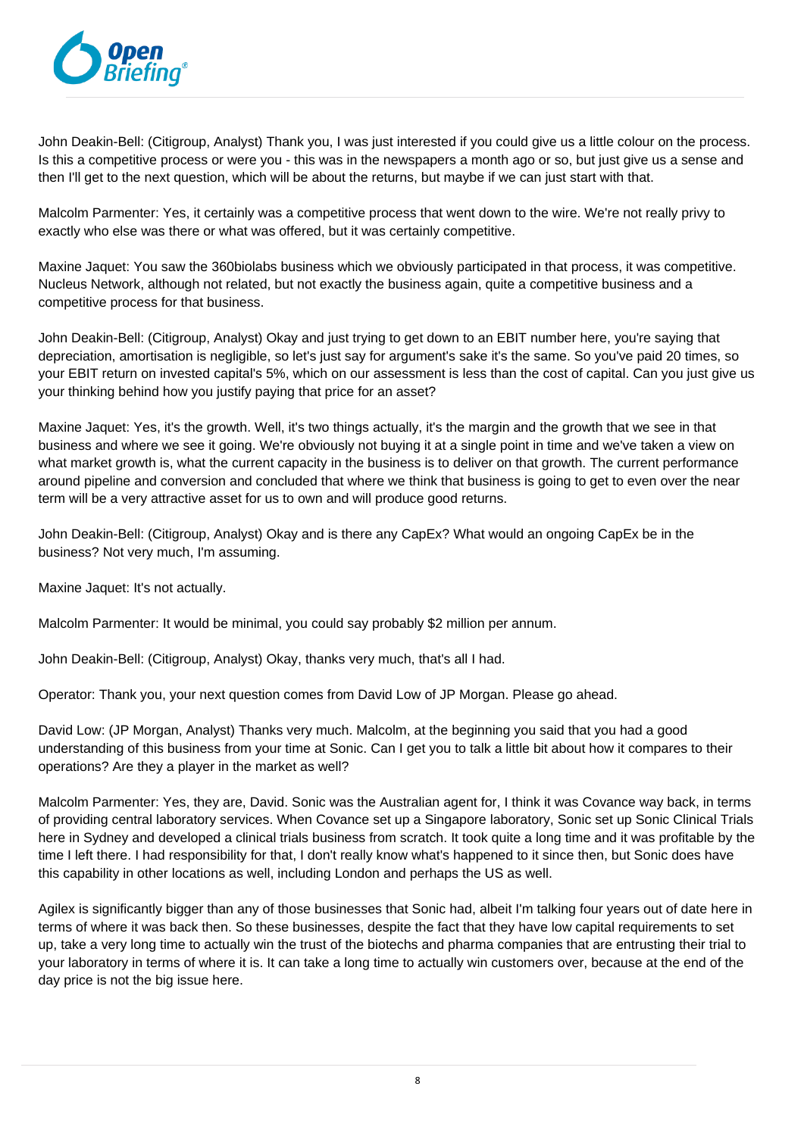

John Deakin-Bell: (Citigroup, Analyst) Thank you, I was just interested if you could give us a little colour on the process. Is this a competitive process or were you - this was in the newspapers a month ago or so, but just give us a sense and then I'll get to the next question, which will be about the returns, but maybe if we can just start with that.

Malcolm Parmenter: Yes, it certainly was a competitive process that went down to the wire. We're not really privy to exactly who else was there or what was offered, but it was certainly competitive.

Maxine Jaquet: You saw the 360biolabs business which we obviously participated in that process, it was competitive. Nucleus Network, although not related, but not exactly the business again, quite a competitive business and a competitive process for that business.

John Deakin-Bell: (Citigroup, Analyst) Okay and just trying to get down to an EBIT number here, you're saying that depreciation, amortisation is negligible, so let's just say for argument's sake it's the same. So you've paid 20 times, so your EBIT return on invested capital's 5%, which on our assessment is less than the cost of capital. Can you just give us your thinking behind how you justify paying that price for an asset?

Maxine Jaquet: Yes, it's the growth. Well, it's two things actually, it's the margin and the growth that we see in that business and where we see it going. We're obviously not buying it at a single point in time and we've taken a view on what market growth is, what the current capacity in the business is to deliver on that growth. The current performance around pipeline and conversion and concluded that where we think that business is going to get to even over the near term will be a very attractive asset for us to own and will produce good returns.

John Deakin-Bell: (Citigroup, Analyst) Okay and is there any CapEx? What would an ongoing CapEx be in the business? Not very much, I'm assuming.

Maxine Jaquet: It's not actually.

Malcolm Parmenter: It would be minimal, you could say probably \$2 million per annum.

John Deakin-Bell: (Citigroup, Analyst) Okay, thanks very much, that's all I had.

Operator: Thank you, your next question comes from David Low of JP Morgan. Please go ahead.

David Low: (JP Morgan, Analyst) Thanks very much. Malcolm, at the beginning you said that you had a good understanding of this business from your time at Sonic. Can I get you to talk a little bit about how it compares to their operations? Are they a player in the market as well?

Malcolm Parmenter: Yes, they are, David. Sonic was the Australian agent for, I think it was Covance way back, in terms of providing central laboratory services. When Covance set up a Singapore laboratory, Sonic set up Sonic Clinical Trials here in Sydney and developed a clinical trials business from scratch. It took quite a long time and it was profitable by the time I left there. I had responsibility for that, I don't really know what's happened to it since then, but Sonic does have this capability in other locations as well, including London and perhaps the US as well.

Agilex is significantly bigger than any of those businesses that Sonic had, albeit I'm talking four years out of date here in terms of where it was back then. So these businesses, despite the fact that they have low capital requirements to set up, take a very long time to actually win the trust of the biotechs and pharma companies that are entrusting their trial to your laboratory in terms of where it is. It can take a long time to actually win customers over, because at the end of the day price is not the big issue here.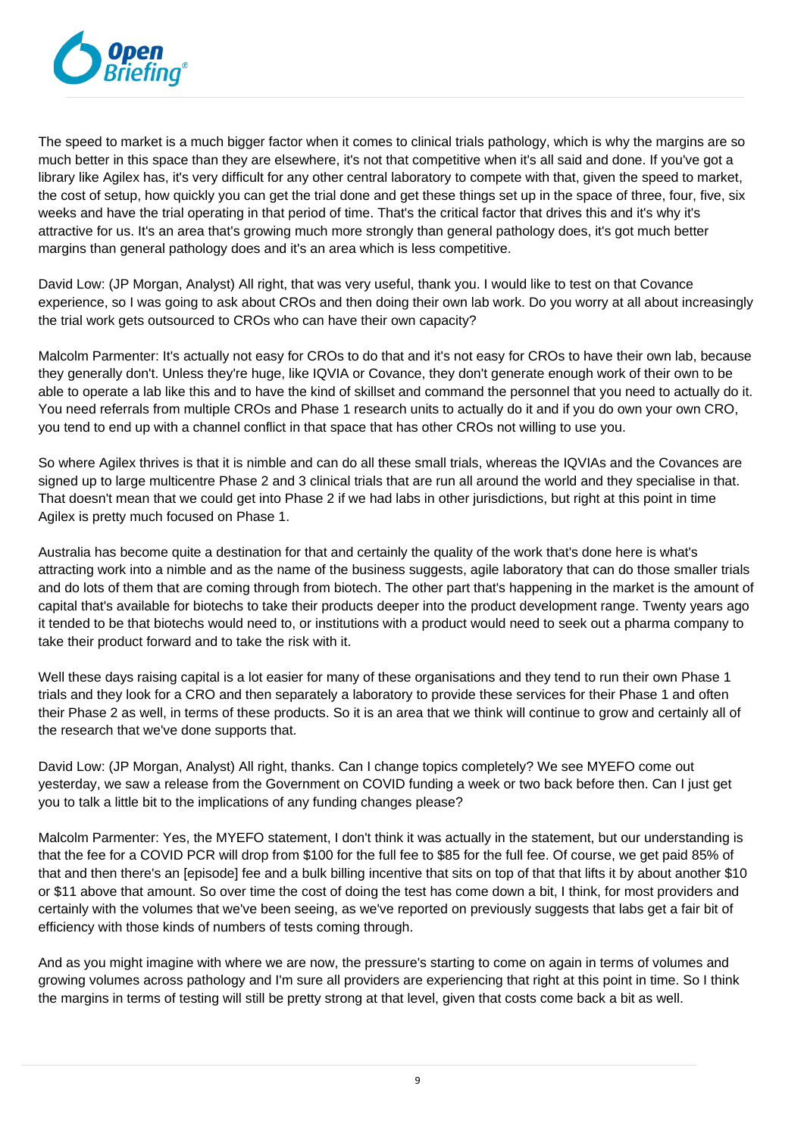

The speed to market is a much bigger factor when it comes to clinical trials pathology, which is why the margins are so much better in this space than they are elsewhere, it's not that competitive when it's all said and done. If you've got a library like Agilex has, it's very difficult for any other central laboratory to compete with that, given the speed to market, the cost of setup, how quickly you can get the trial done and get these things set up in the space of three, four, five, six weeks and have the trial operating in that period of time. That's the critical factor that drives this and it's why it's attractive for us. It's an area that's growing much more strongly than general pathology does, it's got much better margins than general pathology does and it's an area which is less competitive.

David Low: (JP Morgan, Analyst) All right, that was very useful, thank you. I would like to test on that Covance experience, so I was going to ask about CROs and then doing their own lab work. Do you worry at all about increasingly the trial work gets outsourced to CROs who can have their own capacity?

Malcolm Parmenter: It's actually not easy for CROs to do that and it's not easy for CROs to have their own lab, because they generally don't. Unless they're huge, like IQVIA or Covance, they don't generate enough work of their own to be able to operate a lab like this and to have the kind of skillset and command the personnel that you need to actually do it. You need referrals from multiple CROs and Phase 1 research units to actually do it and if you do own your own CRO, you tend to end up with a channel conflict in that space that has other CROs not willing to use you.

So where Agilex thrives is that it is nimble and can do all these small trials, whereas the IQVIAs and the Covances are signed up to large multicentre Phase 2 and 3 clinical trials that are run all around the world and they specialise in that. That doesn't mean that we could get into Phase 2 if we had labs in other jurisdictions, but right at this point in time Agilex is pretty much focused on Phase 1.

Australia has become quite a destination for that and certainly the quality of the work that's done here is what's attracting work into a nimble and as the name of the business suggests, agile laboratory that can do those smaller trials and do lots of them that are coming through from biotech. The other part that's happening in the market is the amount of capital that's available for biotechs to take their products deeper into the product development range. Twenty years ago it tended to be that biotechs would need to, or institutions with a product would need to seek out a pharma company to take their product forward and to take the risk with it.

Well these days raising capital is a lot easier for many of these organisations and they tend to run their own Phase 1 trials and they look for a CRO and then separately a laboratory to provide these services for their Phase 1 and often their Phase 2 as well, in terms of these products. So it is an area that we think will continue to grow and certainly all of the research that we've done supports that.

David Low: (JP Morgan, Analyst) All right, thanks. Can I change topics completely? We see MYEFO come out yesterday, we saw a release from the Government on COVID funding a week or two back before then. Can I just get you to talk a little bit to the implications of any funding changes please?

Malcolm Parmenter: Yes, the MYEFO statement, I don't think it was actually in the statement, but our understanding is that the fee for a COVID PCR will drop from \$100 for the full fee to \$85 for the full fee. Of course, we get paid 85% of that and then there's an [episode] fee and a bulk billing incentive that sits on top of that that lifts it by about another \$10 or \$11 above that amount. So over time the cost of doing the test has come down a bit, I think, for most providers and certainly with the volumes that we've been seeing, as we've reported on previously suggests that labs get a fair bit of efficiency with those kinds of numbers of tests coming through.

And as you might imagine with where we are now, the pressure's starting to come on again in terms of volumes and growing volumes across pathology and I'm sure all providers are experiencing that right at this point in time. So I think the margins in terms of testing will still be pretty strong at that level, given that costs come back a bit as well.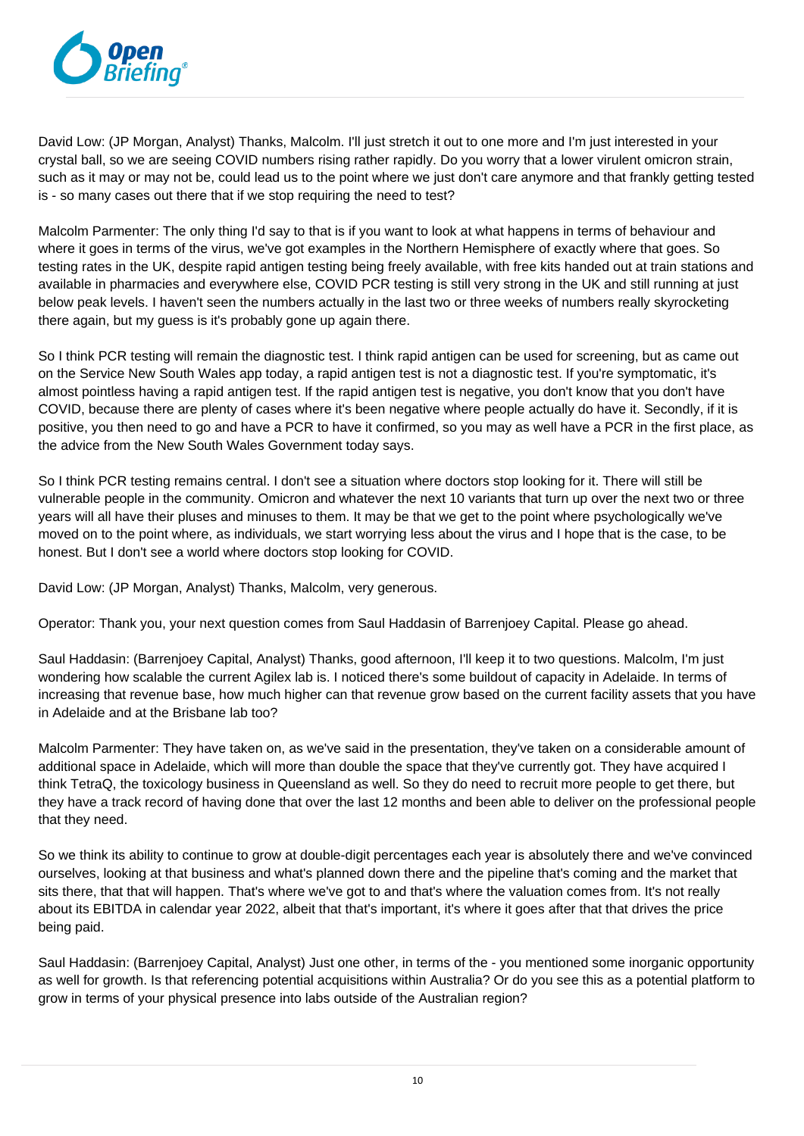

David Low: (JP Morgan, Analyst) Thanks, Malcolm. I'll just stretch it out to one more and I'm just interested in your crystal ball, so we are seeing COVID numbers rising rather rapidly. Do you worry that a lower virulent omicron strain, such as it may or may not be, could lead us to the point where we just don't care anymore and that frankly getting tested is - so many cases out there that if we stop requiring the need to test?

Malcolm Parmenter: The only thing I'd say to that is if you want to look at what happens in terms of behaviour and where it goes in terms of the virus, we've got examples in the Northern Hemisphere of exactly where that goes. So testing rates in the UK, despite rapid antigen testing being freely available, with free kits handed out at train stations and available in pharmacies and everywhere else, COVID PCR testing is still very strong in the UK and still running at just below peak levels. I haven't seen the numbers actually in the last two or three weeks of numbers really skyrocketing there again, but my guess is it's probably gone up again there.

So I think PCR testing will remain the diagnostic test. I think rapid antigen can be used for screening, but as came out on the Service New South Wales app today, a rapid antigen test is not a diagnostic test. If you're symptomatic, it's almost pointless having a rapid antigen test. If the rapid antigen test is negative, you don't know that you don't have COVID, because there are plenty of cases where it's been negative where people actually do have it. Secondly, if it is positive, you then need to go and have a PCR to have it confirmed, so you may as well have a PCR in the first place, as the advice from the New South Wales Government today says.

So I think PCR testing remains central. I don't see a situation where doctors stop looking for it. There will still be vulnerable people in the community. Omicron and whatever the next 10 variants that turn up over the next two or three years will all have their pluses and minuses to them. It may be that we get to the point where psychologically we've moved on to the point where, as individuals, we start worrying less about the virus and I hope that is the case, to be honest. But I don't see a world where doctors stop looking for COVID.

David Low: (JP Morgan, Analyst) Thanks, Malcolm, very generous.

Operator: Thank you, your next question comes from Saul Haddasin of Barrenjoey Capital. Please go ahead.

Saul Haddasin: (Barrenjoey Capital, Analyst) Thanks, good afternoon, I'll keep it to two questions. Malcolm, I'm just wondering how scalable the current Agilex lab is. I noticed there's some buildout of capacity in Adelaide. In terms of increasing that revenue base, how much higher can that revenue grow based on the current facility assets that you have in Adelaide and at the Brisbane lab too?

Malcolm Parmenter: They have taken on, as we've said in the presentation, they've taken on a considerable amount of additional space in Adelaide, which will more than double the space that they've currently got. They have acquired I think TetraQ, the toxicology business in Queensland as well. So they do need to recruit more people to get there, but they have a track record of having done that over the last 12 months and been able to deliver on the professional people that they need.

So we think its ability to continue to grow at double-digit percentages each year is absolutely there and we've convinced ourselves, looking at that business and what's planned down there and the pipeline that's coming and the market that sits there, that that will happen. That's where we've got to and that's where the valuation comes from. It's not really about its EBITDA in calendar year 2022, albeit that that's important, it's where it goes after that that drives the price being paid.

Saul Haddasin: (Barrenjoey Capital, Analyst) Just one other, in terms of the - you mentioned some inorganic opportunity as well for growth. Is that referencing potential acquisitions within Australia? Or do you see this as a potential platform to grow in terms of your physical presence into labs outside of the Australian region?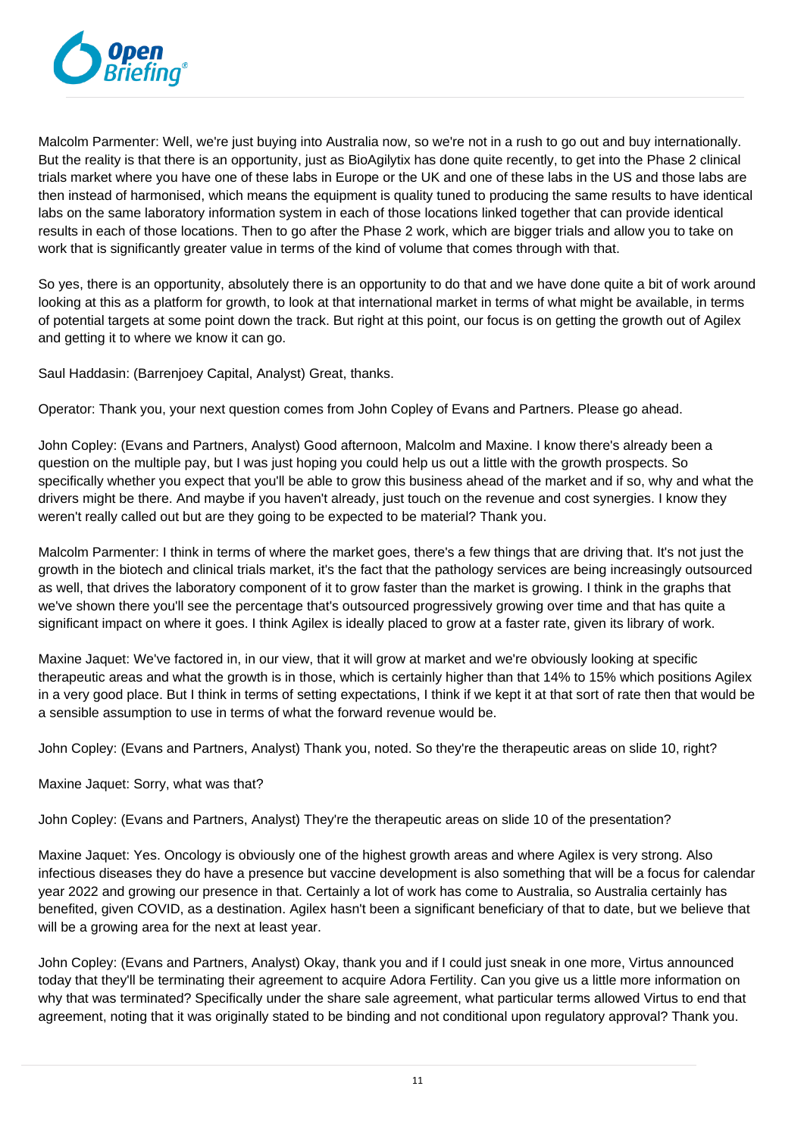

Malcolm Parmenter: Well, we're just buying into Australia now, so we're not in a rush to go out and buy internationally. But the reality is that there is an opportunity, just as BioAgilytix has done quite recently, to get into the Phase 2 clinical trials market where you have one of these labs in Europe or the UK and one of these labs in the US and those labs are then instead of harmonised, which means the equipment is quality tuned to producing the same results to have identical labs on the same laboratory information system in each of those locations linked together that can provide identical results in each of those locations. Then to go after the Phase 2 work, which are bigger trials and allow you to take on work that is significantly greater value in terms of the kind of volume that comes through with that.

So yes, there is an opportunity, absolutely there is an opportunity to do that and we have done quite a bit of work around looking at this as a platform for growth, to look at that international market in terms of what might be available, in terms of potential targets at some point down the track. But right at this point, our focus is on getting the growth out of Agilex and getting it to where we know it can go.

Saul Haddasin: (Barrenjoey Capital, Analyst) Great, thanks.

Operator: Thank you, your next question comes from John Copley of Evans and Partners. Please go ahead.

John Copley: (Evans and Partners, Analyst) Good afternoon, Malcolm and Maxine. I know there's already been a question on the multiple pay, but I was just hoping you could help us out a little with the growth prospects. So specifically whether you expect that you'll be able to grow this business ahead of the market and if so, why and what the drivers might be there. And maybe if you haven't already, just touch on the revenue and cost synergies. I know they weren't really called out but are they going to be expected to be material? Thank you.

Malcolm Parmenter: I think in terms of where the market goes, there's a few things that are driving that. It's not just the growth in the biotech and clinical trials market, it's the fact that the pathology services are being increasingly outsourced as well, that drives the laboratory component of it to grow faster than the market is growing. I think in the graphs that we've shown there you'll see the percentage that's outsourced progressively growing over time and that has quite a significant impact on where it goes. I think Agilex is ideally placed to grow at a faster rate, given its library of work.

Maxine Jaquet: We've factored in, in our view, that it will grow at market and we're obviously looking at specific therapeutic areas and what the growth is in those, which is certainly higher than that 14% to 15% which positions Agilex in a very good place. But I think in terms of setting expectations, I think if we kept it at that sort of rate then that would be a sensible assumption to use in terms of what the forward revenue would be.

John Copley: (Evans and Partners, Analyst) Thank you, noted. So they're the therapeutic areas on slide 10, right?

Maxine Jaquet: Sorry, what was that?

John Copley: (Evans and Partners, Analyst) They're the therapeutic areas on slide 10 of the presentation?

Maxine Jaquet: Yes. Oncology is obviously one of the highest growth areas and where Agilex is very strong. Also infectious diseases they do have a presence but vaccine development is also something that will be a focus for calendar year 2022 and growing our presence in that. Certainly a lot of work has come to Australia, so Australia certainly has benefited, given COVID, as a destination. Agilex hasn't been a significant beneficiary of that to date, but we believe that will be a growing area for the next at least year.

John Copley: (Evans and Partners, Analyst) Okay, thank you and if I could just sneak in one more, Virtus announced today that they'll be terminating their agreement to acquire Adora Fertility. Can you give us a little more information on why that was terminated? Specifically under the share sale agreement, what particular terms allowed Virtus to end that agreement, noting that it was originally stated to be binding and not conditional upon regulatory approval? Thank you.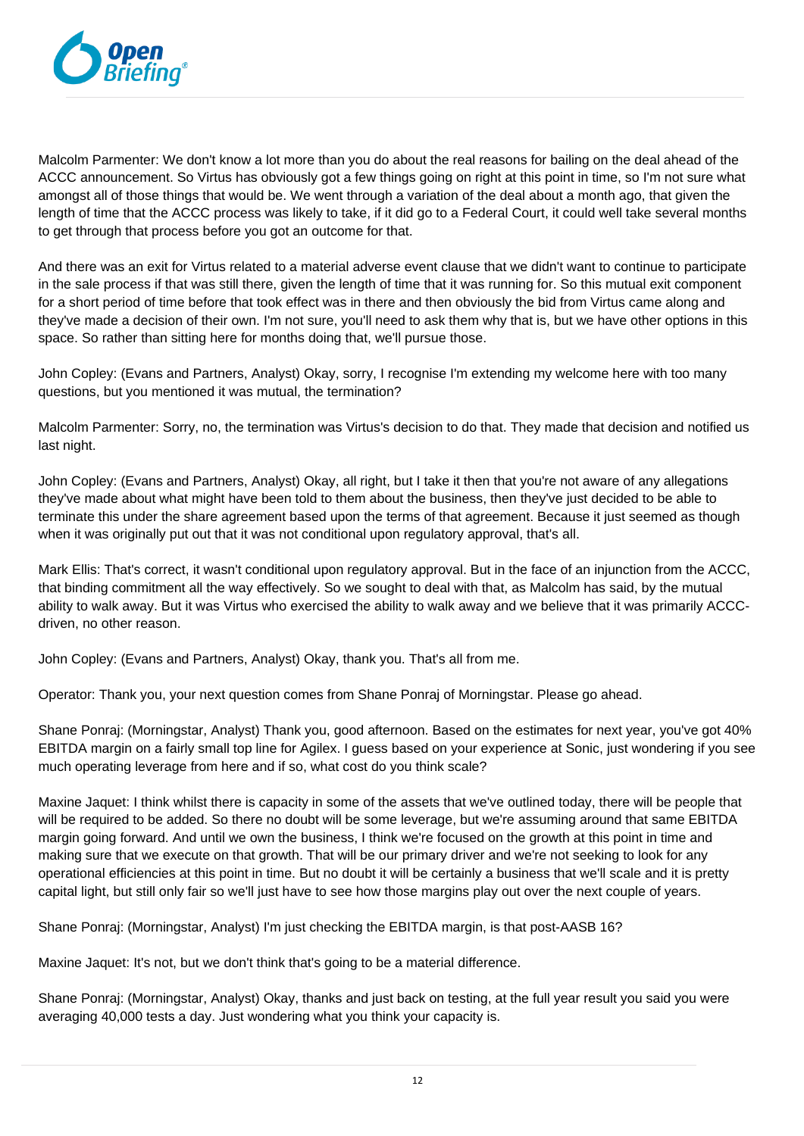

Malcolm Parmenter: We don't know a lot more than you do about the real reasons for bailing on the deal ahead of the ACCC announcement. So Virtus has obviously got a few things going on right at this point in time, so I'm not sure what amongst all of those things that would be. We went through a variation of the deal about a month ago, that given the length of time that the ACCC process was likely to take, if it did go to a Federal Court, it could well take several months to get through that process before you got an outcome for that.

And there was an exit for Virtus related to a material adverse event clause that we didn't want to continue to participate in the sale process if that was still there, given the length of time that it was running for. So this mutual exit component for a short period of time before that took effect was in there and then obviously the bid from Virtus came along and they've made a decision of their own. I'm not sure, you'll need to ask them why that is, but we have other options in this space. So rather than sitting here for months doing that, we'll pursue those.

John Copley: (Evans and Partners, Analyst) Okay, sorry, I recognise I'm extending my welcome here with too many questions, but you mentioned it was mutual, the termination?

Malcolm Parmenter: Sorry, no, the termination was Virtus's decision to do that. They made that decision and notified us last night.

John Copley: (Evans and Partners, Analyst) Okay, all right, but I take it then that you're not aware of any allegations they've made about what might have been told to them about the business, then they've just decided to be able to terminate this under the share agreement based upon the terms of that agreement. Because it just seemed as though when it was originally put out that it was not conditional upon regulatory approval, that's all.

Mark Ellis: That's correct, it wasn't conditional upon regulatory approval. But in the face of an injunction from the ACCC, that binding commitment all the way effectively. So we sought to deal with that, as Malcolm has said, by the mutual ability to walk away. But it was Virtus who exercised the ability to walk away and we believe that it was primarily ACCCdriven, no other reason.

John Copley: (Evans and Partners, Analyst) Okay, thank you. That's all from me.

Operator: Thank you, your next question comes from Shane Ponraj of Morningstar. Please go ahead.

Shane Ponraj: (Morningstar, Analyst) Thank you, good afternoon. Based on the estimates for next year, you've got 40% EBITDA margin on a fairly small top line for Agilex. I guess based on your experience at Sonic, just wondering if you see much operating leverage from here and if so, what cost do you think scale?

Maxine Jaquet: I think whilst there is capacity in some of the assets that we've outlined today, there will be people that will be required to be added. So there no doubt will be some leverage, but we're assuming around that same EBITDA margin going forward. And until we own the business, I think we're focused on the growth at this point in time and making sure that we execute on that growth. That will be our primary driver and we're not seeking to look for any operational efficiencies at this point in time. But no doubt it will be certainly a business that we'll scale and it is pretty capital light, but still only fair so we'll just have to see how those margins play out over the next couple of years.

Shane Ponraj: (Morningstar, Analyst) I'm just checking the EBITDA margin, is that post-AASB 16?

Maxine Jaquet: It's not, but we don't think that's going to be a material difference.

Shane Ponraj: (Morningstar, Analyst) Okay, thanks and just back on testing, at the full year result you said you were averaging 40,000 tests a day. Just wondering what you think your capacity is.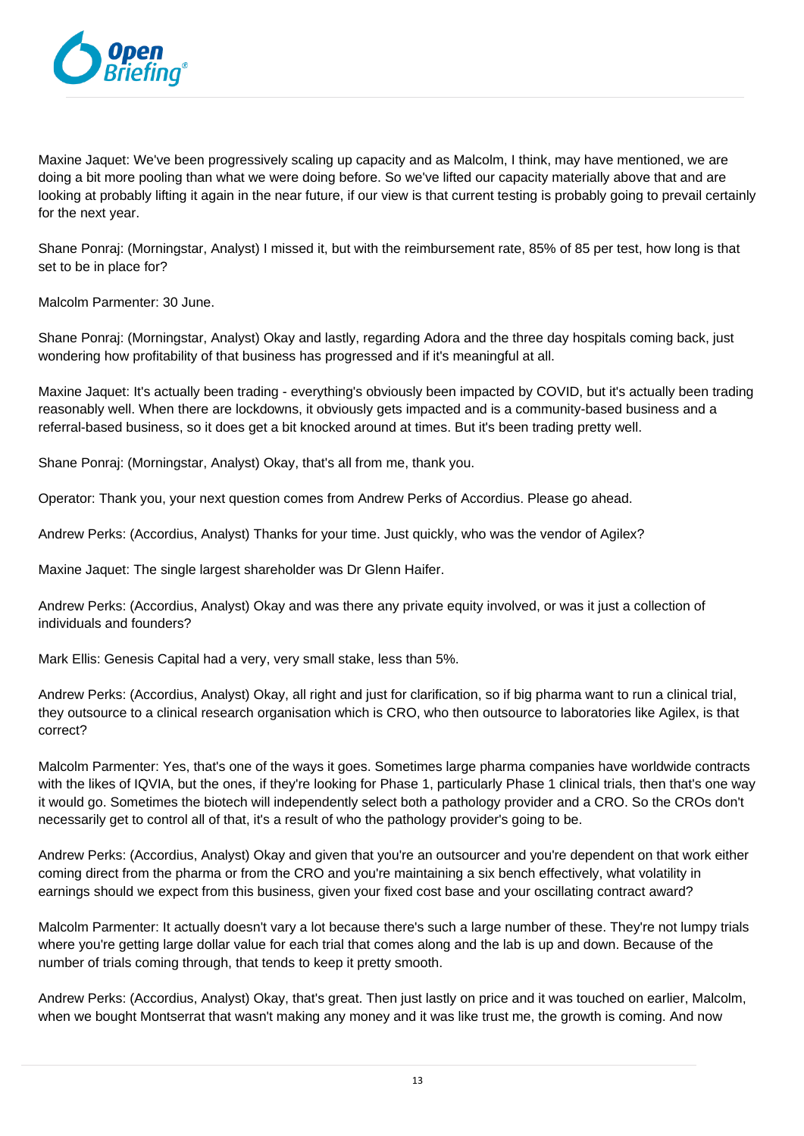

Maxine Jaquet: We've been progressively scaling up capacity and as Malcolm, I think, may have mentioned, we are doing a bit more pooling than what we were doing before. So we've lifted our capacity materially above that and are looking at probably lifting it again in the near future, if our view is that current testing is probably going to prevail certainly for the next year.

Shane Ponraj: (Morningstar, Analyst) I missed it, but with the reimbursement rate, 85% of 85 per test, how long is that set to be in place for?

Malcolm Parmenter: 30 June.

Shane Ponraj: (Morningstar, Analyst) Okay and lastly, regarding Adora and the three day hospitals coming back, just wondering how profitability of that business has progressed and if it's meaningful at all.

Maxine Jaquet: It's actually been trading - everything's obviously been impacted by COVID, but it's actually been trading reasonably well. When there are lockdowns, it obviously gets impacted and is a community-based business and a referral-based business, so it does get a bit knocked around at times. But it's been trading pretty well.

Shane Ponraj: (Morningstar, Analyst) Okay, that's all from me, thank you.

Operator: Thank you, your next question comes from Andrew Perks of Accordius. Please go ahead.

Andrew Perks: (Accordius, Analyst) Thanks for your time. Just quickly, who was the vendor of Agilex?

Maxine Jaquet: The single largest shareholder was Dr Glenn Haifer.

Andrew Perks: (Accordius, Analyst) Okay and was there any private equity involved, or was it just a collection of individuals and founders?

Mark Ellis: Genesis Capital had a very, very small stake, less than 5%.

Andrew Perks: (Accordius, Analyst) Okay, all right and just for clarification, so if big pharma want to run a clinical trial, they outsource to a clinical research organisation which is CRO, who then outsource to laboratories like Agilex, is that correct?

Malcolm Parmenter: Yes, that's one of the ways it goes. Sometimes large pharma companies have worldwide contracts with the likes of IQVIA, but the ones, if they're looking for Phase 1, particularly Phase 1 clinical trials, then that's one way it would go. Sometimes the biotech will independently select both a pathology provider and a CRO. So the CROs don't necessarily get to control all of that, it's a result of who the pathology provider's going to be.

Andrew Perks: (Accordius, Analyst) Okay and given that you're an outsourcer and you're dependent on that work either coming direct from the pharma or from the CRO and you're maintaining a six bench effectively, what volatility in earnings should we expect from this business, given your fixed cost base and your oscillating contract award?

Malcolm Parmenter: It actually doesn't vary a lot because there's such a large number of these. They're not lumpy trials where you're getting large dollar value for each trial that comes along and the lab is up and down. Because of the number of trials coming through, that tends to keep it pretty smooth.

Andrew Perks: (Accordius, Analyst) Okay, that's great. Then just lastly on price and it was touched on earlier, Malcolm, when we bought Montserrat that wasn't making any money and it was like trust me, the growth is coming. And now